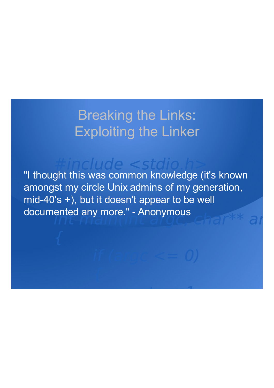### Breaking the Links: Exploiting the Linker

"I thought this was common knowledge (it's known amongst my circle Unix admins of my generation, mid-40's +), but it doesn't appear to be well documented any more." - Anonymous

 $n$ clude  $\lt$ st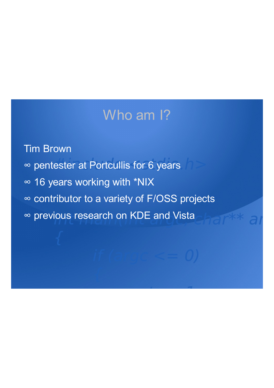### Who am I?

Tim Brown ∞ pentester at Portcullis for 6 years ∞ 16 years working with \*NIX ∞ contributor to a variety of F/OSS projects ∞ previous research on KDE and Vista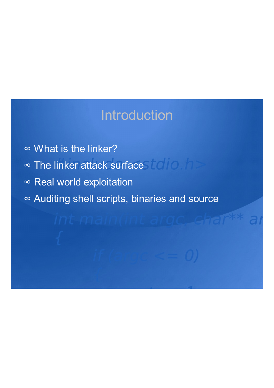### Introduction

∞ <sup>∞</sup> What is the linker? ∞ The linker attack surface ∞ Real world exploitation ∞ Auditing shell scripts, binaries and source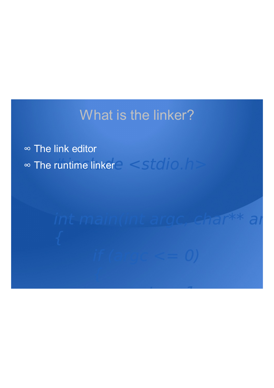### What is the linker?

∞ The link editor ∞ The runtime linker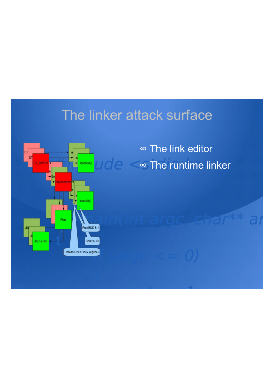### The linker attack surface



∞ The link editor ∞ The runtime linker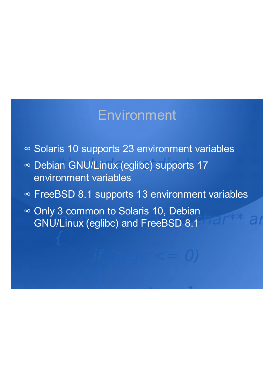### Environment

- ∞ Solaris 10 supports 23 environment variables
- ∞ Debian GNU/Linux (eglibc) supports 17 environment variables
- ∞ FreeBSD 8.1 supports 13 environment variables
- ∞ Only 3 common to Solaris 10, Debian GNU/Linux (eglibc) and FreeBSD 8.1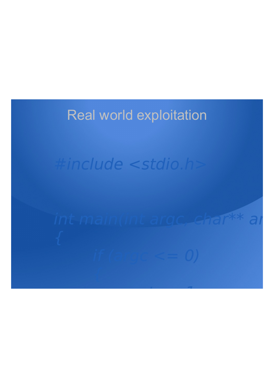## Real world exploitation

## #include <stdio.h>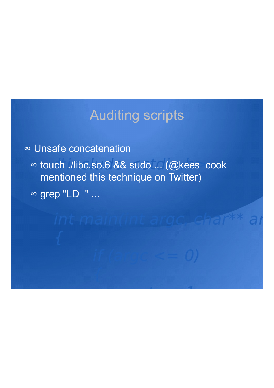### Auditing scripts

∞ Unsafe concatenation ∞ touch ./libc.so.6 && sudo ... (@kees\_cook mentioned this technique on Twitter) ∞ grep "LD\_" ...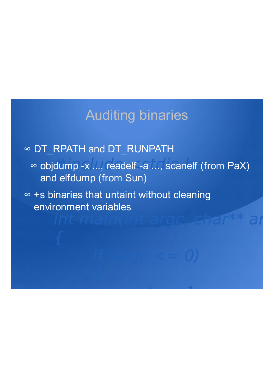### Auditing binaries

### ∞ DT\_RPATH and DT\_RUNPATH

∞ objdump -x ..., readelf -a ..., scanelf (from PaX) and elfdump (from Sun)

∞ +s binaries that untaint without cleaning environment variables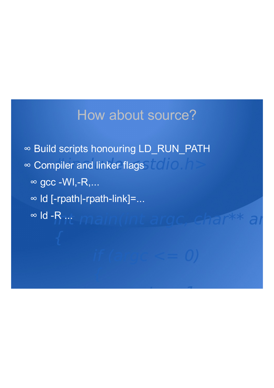### How about source?

∞ Build scripts honouring LD\_RUN\_PATH ∞ Compiler and linker flags ∞  $\alpha$  = WI,-R,... ∞ ld [-rpath|-rpath-link]=... ∞ ld -R ...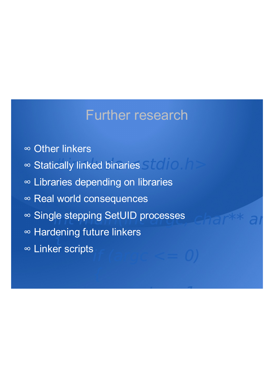### Further research

- ∞ Other linkers
- ∞ Statically linked binaries
- ∞ Libraries depending on libraries
- ∞ Real world consequences
- ∞ Single stepping SetUID processes
- ∞ Hardening future linkers
- ∞ Linker scripts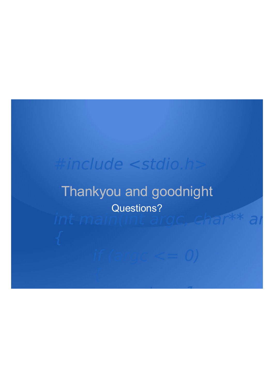## #include <stdio.h>

### Thankyou and goodnight Questions?